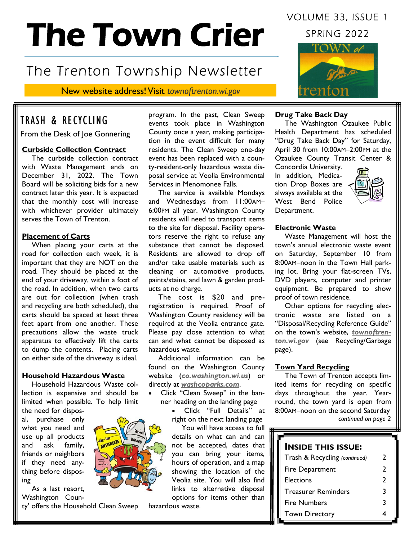# The Town Crier

# The Trenton Township Newsletter

New website address! Visit *townoftrenton.wi.gov*

# TRASH & RECYCLING

From the Desk of Joe Gonnering

#### **Curbside Collection Contract**

The curbside collection contract with Waste Management ends on December 31, 2022. The Town Board will be soliciting bids for a new contract later this year. It is expected that the monthly cost will increase with whichever provider ultimately serves the Town of Trenton.

#### **Placement of Carts**

When placing your carts at the road for collection each week, it is important that they are NOT on the road. They should be placed at the end of your driveway, within a foot of the road. In addition, when two carts are out for collection (when trash and recycling are both scheduled), the carts should be spaced at least three feet apart from one another. These precautions allow the waste truck apparatus to effectively lift the carts to dump the contents. Placing carts on either side of the driveway is ideal.

#### **Household Hazardous Waste**

Household Hazardous Waste collection is expensive and should be limited when possible. To help limit

the need for disposal, purchase only what you need and use up all products and ask family, friends or neighbors if they need anything before disposing

As a last resort, Washington Coun-

ty' offers the Household Clean Sweep

program. In the past, Clean Sweep events took place in Washington County once a year, making participation in the event difficult for many residents. The Clean Sweep one-day event has been replaced with a county-resident-only hazardous waste disposal service at Veolia Environmental Services in Menomonee Falls.

The service is available Mondays and Wednesdays from 11:00AM– 6:00PM all year. Washington County residents will need to transport items to the site for disposal. Facility operators reserve the right to refuse any substance that cannot be disposed. Residents are allowed to drop off and/or take usable materials such as cleaning or automotive products, paints/stains, and lawn & garden products at no charge.

The cost is \$20 and preregistration is required. Proof of Washington County residency will be required at the Veolia entrance gate. Please pay close attention to what can and what cannot be disposed as hazardous waste.

Additional information can be found on the Washington County website (*co.washington.wi.us*) or directly at *washcoparks.com*.

- Click "Clean Sweep" in the banner heading on the landing page
	- Click "Full Details" at right on the next landing page

You will have access to full details on what can and can not be accepted, dates that you can bring your items, hours of operation, and a map showing the location of the Veolia site. You will also find links to alternative disposal options for items other than

hazardous waste.

# VOLUME 33, ISSUE 1

SPRING 2022



#### **Drug Take Back Day**

The Washington Ozaukee Public Health Department has scheduled "Drug Take Back Day" for Saturday, April 30 from 10:00AM–2:00PM at the Ozaukee County Transit Center &

Concordia University. In addition, Medication Drop Boxes are always available at the West Bend Police Department.



#### **Electronic Waste**

Waste Management will host the town's annual electronic waste event on Saturday, September 10 from 8:00AM–noon in the Town Hall parking lot. Bring your flat-screen TVs, DVD players, computer and printer equipment. Be prepared to show proof of town residence.

Other options for recycling electronic waste are listed on a "Disposal/Recycling Reference Guide" on the town's website, *townoftrenton.wi.gov* (see Recycling/Garbage page).

#### **Town Yard Recycling**

The Town of Trenton accepts limited items for recycling on specific days throughout the year. Yearround, the town yard is open from 8:00AM–noon on the second Saturday *continued on page 2*

#### **INSIDE THIS ISSUE:**

| Trash & Recycling (continued) | 2 |
|-------------------------------|---|
| Fire Department               | 2 |
| Elections                     | 2 |
| <b>Treasurer Reminders</b>    | 3 |
| <b>Fire Numbers</b>           | ર |
| <b>Town Directory</b>         |   |

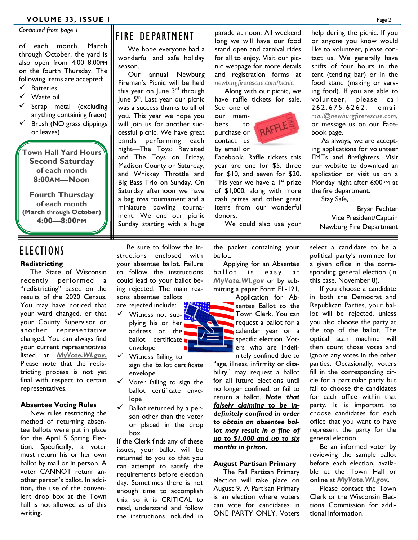*Continued from page 1*

of each month. March through October, the yard is also open from 4:00–8:00PM on the fourth Thursday. The following items are accepted:

- ✓ Batteries
- ✓ Waste oil
- Scrap metal (excluding anything containing freon)
- Brush (NO grass clippings or leaves)

**Town Hall Yard Hours Second Saturday of each month 8:00AM—Noon**

**Fourth Thursday of each month (March through October) 4:00—8:00PM**

# FIRE DEPARTMENT

We hope everyone had a wonderful and safe holiday season.

Our annual Newburg Fireman's Picnic will be held this year on June 3<sup>rd</sup> through June 5<sup>th</sup>. Last year our picnic was a success thanks to all of you. This year we hope you will join us for another successful picnic. We have great bands performing each night—The Toys: Revisited and The Toys on Friday, Madison County on Saturday, and Whiskey Throttle and Big Bass Trio on Sunday. On Saturday afternoon we have a bag toss tournament and a miniature bowling tournament. We end our picnic Sunday starting with a huge

parade at noon. All weekend long we will have our food stand open and carnival rides for all to enjoy. Visit our picnic webpage for more details and registration forms at *newburgfirerescue.com/picnic.* 

Along with our picnic, we have raffle tickets for sale. See one of

our mem-RAFFLE bers to purchase or contact us by email or

Facebook. Raffle tickets this year are one for \$5, three for \$10, and seven for \$20. This year we have a  $1^{st}$  prize of \$1,000, along with more cash prizes and other great items from our wonderful donors.

We could also use your

help during the picnic. If you or anyone you know would like to volunteer, please contact us. We generally have shifts of four hours in the tent (tending bar) or in the food stand (making or serving food). If you are able to volunteer, please call 262.675.6262, email *mail@newburgfirerescue.com*, or message us on our Facebook page.

As always, we are accepting applications for volunteer EMTs and firefighters. Visit our website to download an application or visit us on a Monday night after 6:00PM at the fire department.

Stay Safe,

Bryan Fechter Vice President/Captain Newburg Fire Department

### ELECTIONS

#### **Redistricting**

The State of Wisconsin recently performed a "redistricting" based on the results of the 2020 Census. You may have noticed that your ward changed, or that your County Supervisor or another representative changed. You can always find your current representatives listed at *MyVote.WI.gov.* Please note that the redistricting process is not yet final with respect to certain representatives.

#### **Absentee Voting Rules**

New rules restricting the method of returning absentee ballots were put in place for the April 5 Spring Election. Specifically, a voter must return his or her own ballot by mail or in person. A voter CANNOT return another person's ballot. In addition, the use of the convenient drop box at the Town hall is not allowed as of this writing.

Be sure to follow the instructions enclosed with your absentee ballot. Failure to follow the instructions could lead to your ballot being rejected. The main reasons absentee ballots

- are rejected include: ✓ Witness not supplying his or her address on the ballot certificate envelope
- ✓ Witness failing to sign the ballot certificate envelope
- $\checkmark$  Voter failing to sign the ballot certificate envelope
- $\checkmark$  Ballot returned by a person other than the voter or placed in the drop box

If the Clerk finds any of these issues, your ballot will be returned to you so that you can attempt to satisfy the requirements before election day. Sometimes there is not enough time to accomplish this, so it is CRITICAL to read, understand and follow the instructions included in

the packet containing your ballot.

Applying for an Absentee ballot is easy at *MyVote.WI.gov* or by submitting a paper Form EL-121,

> Application for Absentee Ballot to the Town Clerk. You can request a ballot for a calendar year or a specific election. Voters who are indefinitely confined due to

"age, illness, infirmity or disability" may request a ballot for all future elections until no longer confined, or fail to return a ballot. *Note that falsely claiming to be indefinitely confined in order to obtain an absentee ballot may result in a fine of up to \$1,000 and up to six months in prison.*

#### **August Partisan Primary**

The Fall Partisan Primary election will take place on August 9. A Partisan Primary is an election where voters can vote for candidates in ONE PARTY ONLY. Voters select a candidate to be a political party's nominee for a given office in the corresponding general election (in this case, November 8).

If you choose a candidate in both the Democrat and Republican Parties, your ballot will be rejected, unless you also choose the party at the top of the ballot. The optical scan machine will then count those votes and ignore any votes in the other parties. Occasionally, voters fill in the corresponding circle for a particular party but fail to choose the candidates for each office within that party. It is important to choose candidates for each office that you want to have represent the party for the general election.

Be an informed voter by reviewing the sample ballot before each election, available at the Town Hall or online at *MyVote.WI.gov.*

Please contact the Town Clerk or the Wisconsin Elections Commission for additional information.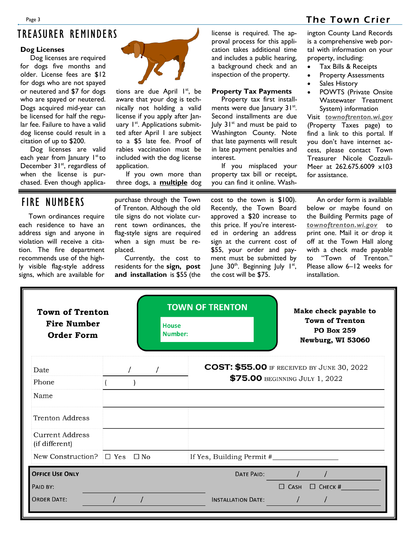# TREASURER REMINDERS

#### **Dog Licenses**

Dog licenses are required for dogs five months and older. License fees are \$12 for dogs who are not spayed or neutered and \$7 for dogs who are spayed or neutered. Dogs acquired mid-year can be licensed for half the regular fee. Failure to have a valid dog license could result in a citation of up to \$200.

Dog licenses are valid each year from January  $1<sup>st</sup>$  to December 31<sup>st</sup>, regardless of when the license is purchased. Even though applica-



tions are due April 1<sup>st</sup>, be aware that your dog is technically not holding a valid license if you apply after January I<sup>st</sup>. Applications submitted after April 1 are subject to a \$5 late fee. Proof of rabies vaccination must be included with the dog license application.

If you own more than three dogs, a **multiple** dog license is required. The approval process for this application takes additional time and includes a public hearing, a background check and an inspection of the property.

#### **Property Tax Payments**

Property tax first installments were due January 31st. Second installments are due  $|$ uly  $31<sup>st</sup>$  and must be paid to Washington County. Note that late payments will result in late payment penalties and interest.

If you misplaced your property tax bill or receipt, you can find it online. Washington County Land Records is a comprehensive web portal with information on your property, including:

- Tax Bills & Receipts
- Property Assessments
- Sales History
- POWTS (Private Onsite Wastewater Treatment System) information

Visit *townoftrenton.wi.gov* (Property Taxes page) to find a link to this portal. If you don't have internet access, please contact Town Treasurer Nicole Cozzuli-Meer at 262.675.6009 x103 for assistance.

## FIRE NUMBERS

Town ordinances require each residence to have an address sign and anyone in violation will receive a citation. The fire department recommends use of the highly visible flag-style address signs, which are available for

purchase through the Town of Trenton. Although the old tile signs do not violate current town ordinances, the flag-style signs are required when a sign must be replaced.

Currently, the cost to residents for the **sign, post and installation** is \$55 (the cost to the town is \$100). Recently, the Town Board approved a \$20 increase to this price. If you're interested in ordering an address sign at the current cost of \$55, your order and payment must be submitted by June 30<sup>th</sup>. Beginning July 1<sup>st</sup>, the cost will be \$75.

An order form is available below or maybe found on the Building Permits page of *townoftrenton.wi.gov* to print one. Mail it or drop it off at the Town Hall along with a check made payable to "Town of Trenton." Please allow 6–12 weeks for installation.

| <b>Town of Trenton</b><br><b>Fire Number</b><br><b>Order Form</b> |  | <b>House</b><br>Number: | <b>TOWN OF TRENTON</b>         |             | Make check payable to<br><b>Town of Trenton</b><br><b>PO Box 259</b><br>Newburg, WI 53060 |
|-------------------------------------------------------------------|--|-------------------------|--------------------------------|-------------|-------------------------------------------------------------------------------------------|
| Date                                                              |  | $\prime$                |                                |             | <b>COST: \$55.00</b> IF RECEIVED BY JUNE 30, 2022                                         |
| Phone                                                             |  |                         | \$75.00 BEGINNING JULY 1, 2022 |             |                                                                                           |
| Name                                                              |  |                         |                                |             |                                                                                           |
| Trenton Address                                                   |  |                         |                                |             |                                                                                           |
| <b>Current Address</b><br>(if different)                          |  |                         |                                |             |                                                                                           |
| New Construction? $\Box$ Yes $\Box$ No                            |  |                         |                                |             |                                                                                           |
| <b>OFFICE USE ONLY</b>                                            |  |                         | DATE PAID:                     |             |                                                                                           |
| PAID BY:                                                          |  |                         |                                | $\Box$ CASH | $\Box$ CHECK #                                                                            |
| <b>ORDER DATE:</b>                                                |  |                         | <b>INSTALLATION DATE:</b>      |             |                                                                                           |